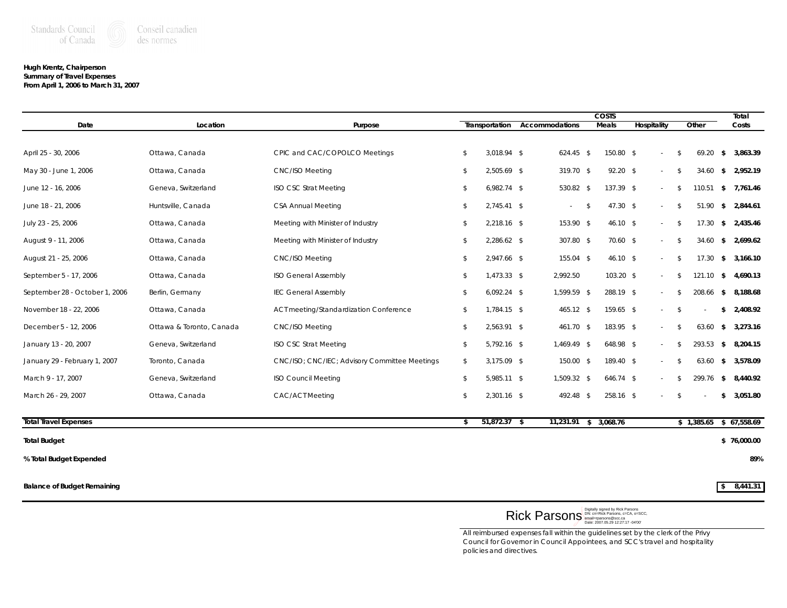## **Hugh Krentz, Chairperson Summary of Travel Expenses From April 1, 2006 to March 31, 2007**

|                                |                          |                                               | <b>COSTS</b> |                |  |                |              |              |             |  | Total |        |               |                          |
|--------------------------------|--------------------------|-----------------------------------------------|--------------|----------------|--|----------------|--------------|--------------|-------------|--|-------|--------|---------------|--------------------------|
| Date                           | Location                 | Purpose                                       |              | Transportation |  | Accommodations | <b>Meals</b> |              | Hospitality |  | Other |        |               | Costs                    |
|                                |                          |                                               |              |                |  |                |              |              |             |  |       |        |               |                          |
| April 25 - 30, 2006            | Ottawa, Canada           | CPIC and CAC/COPOLCO Meetings                 | \$           | $3,018.94$ \$  |  | $624.45$ \$    |              | 150.80 \$    |             |  | - \$  | 69.20  | \$            | 3,863.39                 |
| May 30 - June 1, 2006          | Ottawa, Canada           | <b>CNC/ISO Meeting</b>                        | \$           | $2,505.69$ \$  |  | $319.70$ \$    |              | $92.20$ \$   |             |  | -8    | 34.60  | \$            | 2,952.19                 |
| June 12 - 16, 2006             | Geneva, Switzerland      | <b>ISO CSC Strat Meeting</b>                  | \$           | $6,982.74$ \$  |  | 530.82 \$      |              | $137.39$ \$  |             |  | \$    | 110.51 | \$            | 7.761.46                 |
| June 18 - 21, 2006             | Huntsville, Canada       | CSA Annual Meeting                            | \$           | $2,745.41$ \$  |  | $\sim$         | \$           | $47.30$ \$   |             |  | - \$  | 51.90  | \$            | 2,844.61                 |
| July 23 - 25, 2006             | Ottawa, Canada           | Meeting with Minister of Industry             | \$           | $2,218.16$ \$  |  | $153.90$ \$    |              | $46.10$ \$   |             |  | - \$  | 17.30  | \$            | 2,435.46                 |
| August 9 - 11, 2006            | Ottawa, Canada           | Meeting with Minister of Industry             | \$           | $2,286.62$ \$  |  | 307.80 \$      |              | $70.60$ \$   |             |  | - \$  | 34.60  | \$            | 2,699.62                 |
| August 21 - 25, 2006           | Ottawa, Canada           | <b>CNC/ISO Meeting</b>                        | \$           | $2,947.66$ \$  |  | $155.04$ \$    |              | $46.10\,$ \$ |             |  | \$    | 17.30  | \$            | 3,166.10                 |
| September 5 - 17, 2006         | Ottawa, Canada           | <b>ISO General Assembly</b>                   | \$           | $1,473.33$ \$  |  | 2,992.50       |              | $103.20$ \$  |             |  | \$    | 121.10 |               | \$4,690.13               |
| September 28 - October 1, 2006 | Berlin, Germany          | <b>IEC General Assembly</b>                   | \$           | $6,092.24$ \$  |  | $1,599.59$ \$  |              | 288.19 \$    |             |  | \$    | 208.66 | \$            | 8,188.68                 |
| November 18 - 22, 2006         | Ottawa, Canada           | ACT meeting/Standardization Conference        | \$           | $1,784.15$ \$  |  | $465.12$ \$    |              | $159.65$ \$  |             |  | \$    |        |               | \$2,408.92               |
| December 5 - 12, 2006          | Ottawa & Toronto, Canada | <b>CNC/ISO Meeting</b>                        | \$           | $2,563.91$ \$  |  | $461.70$ \$    |              | $183.95$ \$  |             |  | \$    | 63.60  | \$            | 3,273.16                 |
| January 13 - 20, 2007          | Geneva, Switzerland      | <b>ISO CSC Strat Meeting</b>                  | \$           | $5,792.16$ \$  |  | $1,469.49$ \$  |              | 648.98 \$    |             |  | \$    | 293.53 | \$            | 8,204.15                 |
| January 29 - February 1, 2007  | Toronto, Canada          | CNC/ISO; CNC/IEC; Advisory Committee Meetings | \$           | $3,175.09$ \$  |  | $150.00$ \$    |              | $189.40$ \$  |             |  | - \$  | 63.60  | \$            | 3,578.09                 |
| March 9 - 17, 2007             | Geneva, Switzerland      | <b>ISO Council Meeting</b>                    | \$           | $5,985.11$ \$  |  | $1,509.32$ \$  |              | $646.74$ \$  |             |  | \$    | 299.76 | $\mathcal{S}$ | 8,440.92                 |
| March 26 - 29, 2007            | Ottawa, Canada           | CAC/ACT Meeting                               | \$           | $2,301.16$ \$  |  | $492.48$ \$    |              | $258.16$ \$  |             |  | \$    |        | \$            | 3,051.80                 |
| <b>Total Travel Expenses</b>   |                          |                                               | \$           | $51,872.37$ \$ |  | 11,231.91      |              | \$3,068.76   |             |  |       |        |               | $$1,385.65$ $$67,558.69$ |
|                                |                          |                                               |              |                |  |                |              |              |             |  |       |        |               |                          |

## **Total Budget \$ 76,000.00**

**% Total Budget Expended 89%**

**Balance of Budget Remaining \$ 8,441.31**

 ${\sf Rick~PearSON}^\textsf{\tiny Digitally signed by Rick~Parsons}_{\sf DR: \textit{CH-RISON@SCCa}} \mathsf{Rick~Parsons}_{\sf CDCR, \textit{O=SCC}, \textit{O=SCC}, \textit{O=SCC}, \textit{O=SCC}}$ 

*All reimbursed expenses fall within the guidelines set by the clerk of the Privy Council for Governor in Council Appointees, and SCC's travel and hospitality policies and directives.*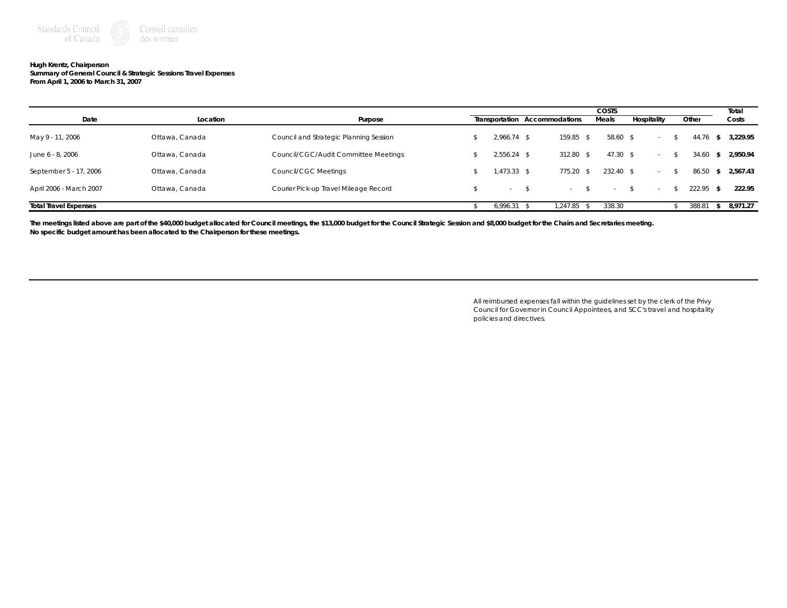

## **Hugh Krentz, Chairperson Summary of General Council & Strategic Sessions Travel Expenses From April 1, 2006 to March 31, 2007**

|                              |                |                                        | COSTS          |                               |  |             |             |             |   | Total    |
|------------------------------|----------------|----------------------------------------|----------------|-------------------------------|--|-------------|-------------|-------------|---|----------|
| Date                         | Location       | Purpose                                |                | Transportation Accommodations |  | Meals       | Hospitality | Other       |   | Costs    |
| May 9 - 11, 2006             | Ottawa, Canada | Council and Strategic Planning Session | $2.966.74$ \$  | 159.85 \$                     |  | 58.60 \$    | $\sim$      | 44.76       |   | 3,229.95 |
| June 6 - 8, 2006             | Ottawa, Canada | Council/CGC/Audit Committee Meetings   | $2.556.24$ \$  | 312.80 \$                     |  | $47.30$ \$  | $\sim$      | 34.60       | s | 2,950.94 |
| September 5 - 17, 2006       | Ottawa, Canada | Council/CGC Meetings                   | $1,473.33$ \$  | $775.20$ \$                   |  | $232.40$ \$ | $\sim$      | 86.50       | s | 2.567.43 |
| April 2006 - March 2007      | Ottawa, Canada | Courier Pick-up Travel Mileage Record  | $\overline{a}$ |                               |  | $\sim$      | $\sim$      | $222.95$ \$ |   | 222.95   |
| <b>Total Travel Expenses</b> |                |                                        | 6.996.31       | .247.85                       |  | 338.30      |             | 388.81      |   | 8.971.27 |

The meetings listed above are part of the \$40,000 budget allocated for Council meetings, the \$13,000 budget for the Council Strategic Session and \$8,000 budget for the Chairs and Secretaries meeting. **No specific budget amount has been allocated to the Chairperson for these meetings.**

> *All reimbursed expenses fall within the guidelines set by the clerk of the Privy Council for Governor in Council Appointees, and SCC's travel and hospitality policies and directives.*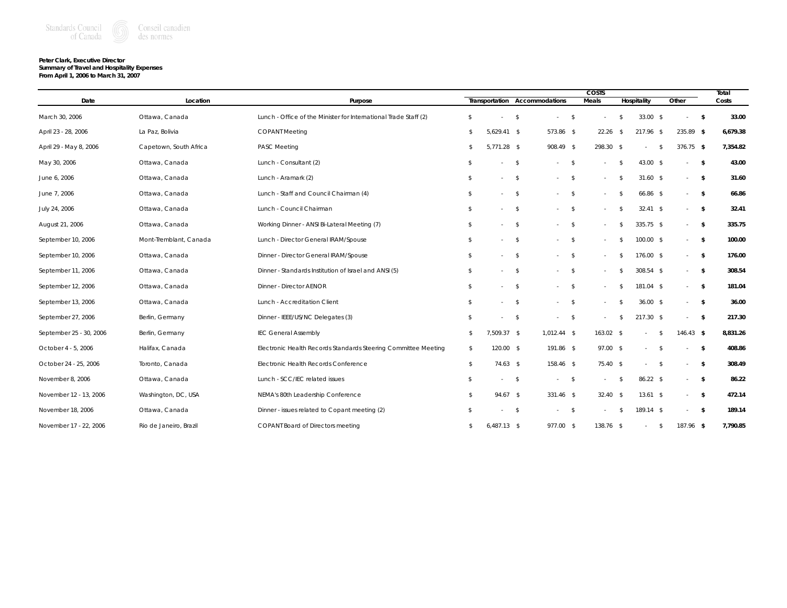

## **Peter Clark, Executive Director Summary of Travel and Hospitality Expenses**

|  | From April 1, 2006 to March 31, 2007 |  |
|--|--------------------------------------|--|
|--|--------------------------------------|--|

|                         |                        |                                                                  |    |               |                               |               | <b>COSTS</b> |               |             |               |             | Total         |          |
|-------------------------|------------------------|------------------------------------------------------------------|----|---------------|-------------------------------|---------------|--------------|---------------|-------------|---------------|-------------|---------------|----------|
| Date                    | Location               | Purpose                                                          |    |               | Transportation Accommodations |               | Meals        |               | Hospitality | Other         |             |               | Costs    |
| March 30, 2006          | Ottawa, Canada         | Lunch - Office of the Minister for International Trade Staff (2) | \$ |               | $\mathcal{S}$<br>$\sim$       | $\mathcal{S}$ |              | \$            | $33.00$ \$  |               | $\sim$      | $\mathbf{s}$  | 33.00    |
| April 23 - 28, 2006     | La Paz, Bolivia        | <b>COPANT Meeting</b>                                            | \$ | $5.629.41$ \$ | 573.86 \$                     |               | 22.26        | - \$          | $217.96$ \$ |               | $235.89$ \$ |               | 6,679.38 |
| April 29 - May 8, 2006  | Capetown, South Africa | <b>PASC Meeting</b>                                              | \$ | $5,771.28$ \$ | 908.49 \$                     |               | 298.30 \$    |               | $\sim$      | $\mathcal{S}$ | $376.75$ \$ |               | 7,354.82 |
| May 30, 2006            | Ottawa, Canada         | Lunch - Consultant (2)                                           | \$ |               | $\mathcal{S}$<br>$\mathbf{r}$ | \$            |              | \$            | 43.00 \$    |               | $\sim$      | $\mathcal{S}$ | 43.00    |
| June 6, 2006            | Ottawa, Canada         | Lunch - Aramark (2)                                              | \$ | a.            | \$<br>$\sim$                  | \$            |              | \$            | $31.60$ \$  |               | $\sim$      | $\mathcal{S}$ | 31.60    |
| June 7, 2006            | Ottawa, Canada         | Lunch - Staff and Council Chairman (4)                           | \$ |               | \$<br>$\sim$                  | - \$          |              | \$            | 66.86 \$    |               | $\sim$      | \$            | 66.86    |
| July 24, 2006           | Ottawa, Canada         | Lunch - Council Chairman                                         | \$ |               | $\mathcal{S}$<br>$-5$         |               |              | \$            | $32.41$ \$  |               | $\sim$      | - \$          | 32.41    |
| August 21, 2006         | Ottawa, Canada         | Working Dinner - ANSI Bi-Lateral Meeting (7)                     | \$ |               | $\mathcal{S}$                 | - \$          |              | \$            | $335.75$ \$ |               | $\sim$      | $\mathcal{S}$ | 335.75   |
| September 10, 2006      | Mont-Tremblant, Canada | Lunch - Director General IRAM/Spouse                             | \$ | $\mathbf{r}$  | \$<br>$\sim$                  | \$            |              | S             | $100.00$ \$ |               | $\sim$      | $\mathcal{S}$ | 100.00   |
| September 10, 2006      | Ottawa, Canada         | Dinner - Director General IRAM/Spouse                            | \$ |               | $\mathcal{S}$<br>$\sim$       | $\mathcal{S}$ |              | \$            | 176.00 \$   |               | $\sim$      | $\mathcal{S}$ | 176.00   |
| September 11, 2006      | Ottawa, Canada         | Dinner - Standards Institution of Israel and ANSI (5)            | \$ |               | $\mathcal{S}$<br>$\sim$       | - \$          |              |               | $308.54$ \$ |               | $\sim$      | - \$          | 308.54   |
| September 12, 2006      | Ottawa, Canada         | <b>Dinner - Director AENOR</b>                                   | \$ | ×.            | \$<br>$\sim$                  | \$            |              | S             | 181.04 \$   |               | $\sim$      | $\mathcal{S}$ | 181.04   |
| September 13, 2006      | Ottawa, Canada         | Lunch - Accreditation Client                                     | \$ | $\sim$        | $\mathcal{S}$<br>$-5$         |               |              | \$            | 36.00 S     |               | $\sim$      | $\mathcal{S}$ | 36.00    |
| September 27, 2006      | Berlin, Germany        | Dinner - IEEE/US/NC Delegates (3)                                | \$ |               | \$                            | \$            |              | - \$          | $217.30$ \$ |               | $\sim$      | \$            | 217.30   |
| September 25 - 30, 2006 | Berlin, Germany        | <b>IEC General Assembly</b>                                      | \$ | $7,509.37$ \$ | $1,012.44$ \$                 |               | $163.02$ \$  |               |             | $\mathcal{S}$ | $146.43$ \$ |               | 8,831.26 |
| October 4 - 5, 2006     | Halifax, Canada        | Electronic Health Records Standards Steering Committee Meeting   | \$ | $120.00$ \$   | 191.86 \$                     |               | 97.00 \$     |               | $\sim$      | \$            | ٠           | $\mathcal{S}$ | 408.86   |
| October 24 - 25, 2006   | Toronto, Canada        | Electronic Health Records Conference                             | \$ | $74.63$ \$    | 158.46 \$                     |               | $75.40$ \$   |               |             | \$            | ٠           | - \$          | 308.49   |
| November 8, 2006        | Ottawa, Canada         | Lunch - SCC/IEC related issues                                   | \$ | $\sim$        | \$<br>$\sim$                  | \$            |              | \$            | 86.22 \$    |               | $\sim$      | \$            | 86.22    |
| November 12 - 13, 2006  | Washington, DC, USA    | NEMA's 80th Leadership Conference                                | \$ | 94.67 S       | $331.46$ \$                   |               | 32.40        | $\mathcal{S}$ | 13.61S      |               | $\sim$      | - \$          | 472.14   |
| November 18, 2006       | Ottawa, Canada         | Dinner - issues related to Copant meeting (2)                    | \$ |               | \$<br>$\sim$                  | \$            |              | $\mathcal{S}$ | 189.14 \$   |               | $\sim$      | - \$          | 189.14   |
| November 17 - 22, 2006  | Rio de Janeiro, Brazil | <b>COPANT Board of Directors meeting</b>                         | \$ | $6,487.13$ \$ | 977.00 \$                     |               | $138.76$ \$  |               |             | \$            | $187.96$ \$ |               | 7,790.85 |